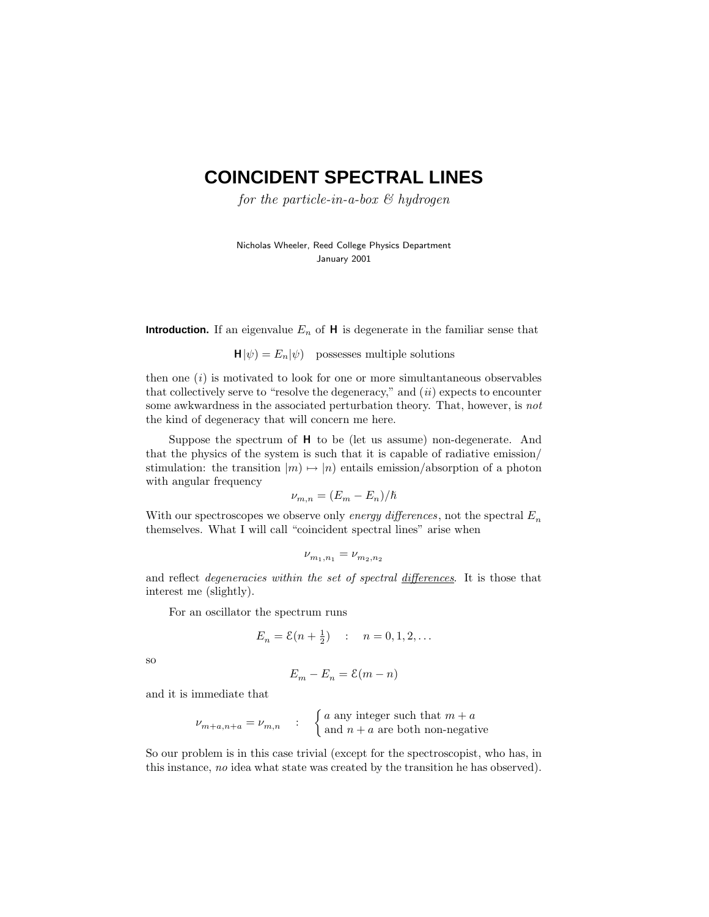# **COINCIDENT SPECTRAL LINES**

for the particle-in-a-box  $\mathcal B$  hydrogen

Nicholas Wheeler, Reed College Physics Department January 2001

**Introduction.** If an eigenvalue  $E_n$  of  $H$  is degenerate in the familiar sense that

 $\mathbf{H}|\psi\rangle = E_n|\psi\rangle$  possesses multiple solutions

then one  $(i)$  is motivated to look for one or more simultantaneous observables that collectively serve to "resolve the degeneracy," and  $(ii)$  expects to encounter some awkwardness in the associated perturbation theory. That, however, is not the kind of degeneracy that will concern me here.

Suppose the spectrum of **H** to be (let us assume) non-degenerate. And that the physics of the system is such that it is capable of radiative emission/ stimulation: the transition  $|m\rangle \mapsto |n\rangle$  entails emission/absorption of a photon with angular frequency

$$
\nu_{m,n}=(E_m-E_n)/\hbar
$$

With our spectroscopes we observe only *energy differences*, not the spectral  $E_n$ themselves.What I will call "coincident spectral lines" arise when

$$
\nu_{m_1,n_1} = \nu_{m_2,n_2}
$$

and reflect *degeneracies within the set of spectral differences*. It is those that interest me (slightly).

For an oscillator the spectrum runs

$$
E_n = \mathcal{E}(n + \frac{1}{2}) \quad : \quad n = 0, 1, 2, \dots
$$

so

$$
E_m - E_n = \mathcal{E}(m - n)
$$

and it is immediate that

$$
\nu_{m+a,n+a} = \nu_{m,n} \qquad : \quad \begin{cases} a \text{ any integer such that } m+a \\ \text{and } n+a \text{ are both non-negative} \end{cases}
$$

So our problem is in this case trivial (except for the spectroscopist, who has, in this instance, no idea what state was created by the transition he has observed).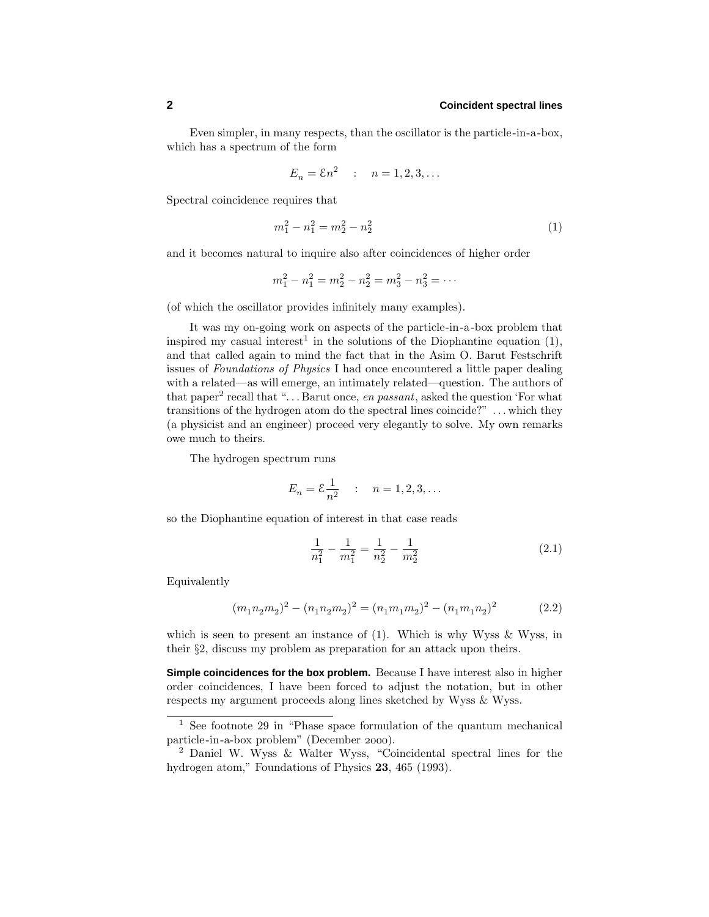Even simpler, in many respects, than the oscillator is the particle-in-a-box, which has a spectrum of the form

$$
E_n = \mathcal{E} n^2 \quad : \quad n = 1, 2, 3, \dots
$$

Spectral coincidence requires that

$$
m_1^2 - n_1^2 = m_2^2 - n_2^2 \tag{1}
$$

and it becomes natural to inquire also after coincidences of higher order

$$
m_1^2 - n_1^2 = m_2^2 - n_2^2 = m_3^2 - n_3^2 = \cdots
$$

(of which the oscillator provides infinitely many examples).

It was my on-going work on aspects of the particle-in-a-box problem that inspired my casual interest<sup>1</sup> in the solutions of the Diophantine equation  $(1)$ , and that called again to mind the fact that in the Asim O.Barut Festschrift issues of Foundations of Physics I had once encountered a little paper dealing with a related—as will emerge, an intimately related—question. The authors of that paper<sup>2</sup> recall that "... Barut once, *en passant*, asked the question 'For what transitions of the hydrogen atom do the spectral lines coincide?" *...* which they (a physicist and an engineer) proceed very elegantly to solve.My own remarks owe much to theirs.

The hydrogen spectrum runs

$$
E_n = \mathcal{E} \frac{1}{n^2} \quad : \quad n = 1, 2, 3, \dots
$$

so the Diophantine equation of interest in that case reads

$$
\frac{1}{n_1^2} - \frac{1}{m_1^2} = \frac{1}{n_2^2} - \frac{1}{m_2^2}
$$
 (2.1)

Equivalently

$$
(m_1 n_2 m_2)^2 - (n_1 n_2 m_2)^2 = (n_1 m_1 m_2)^2 - (n_1 m_1 n_2)^2 \tag{2.2}
$$

which is seen to present an instance of  $(1)$ . Which is why Wyss & Wyss, in their §2, discuss my problem as preparation for an attack upon theirs.

**Simple coincidences for the box problem.** Because I have interest also in higher order coincidences, I have been forced to adjust the notation, but in other respects my argument proceeds along lines sketched by Wyss & Wyss.

 $\frac{1}{1}$  See footnote 29 in "Phase space formulation of the quantum mechanical particle-in-a-box problem" (December 2000).

<sup>2</sup> Daniel W.Wyss & Walter Wyss, "Coincidental spectral lines for the hydrogen atom," Foundations of Physics **23**, 465 (1993).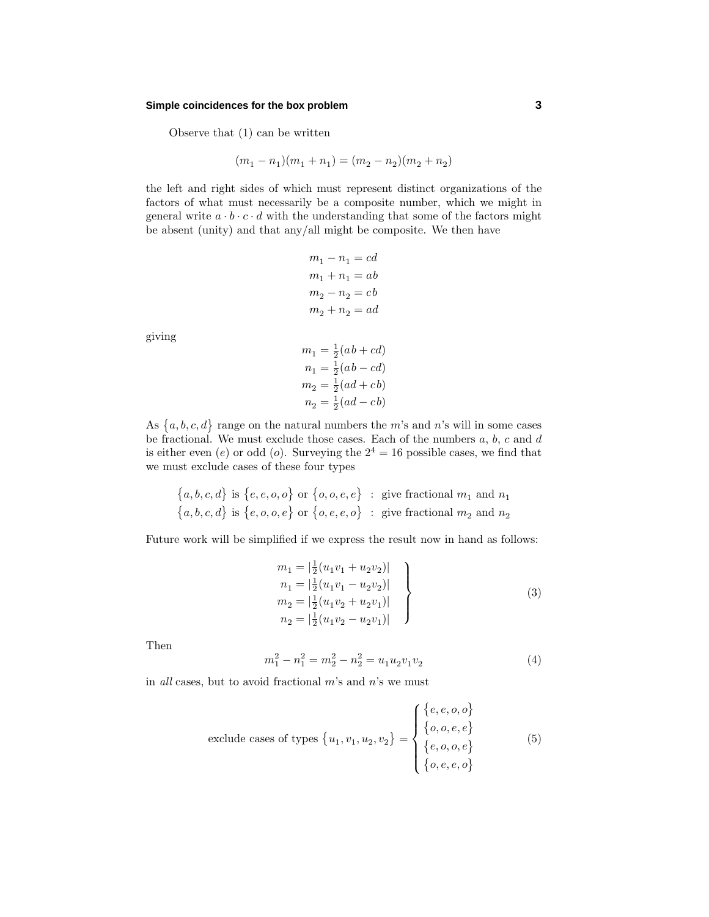#### **Simple coincidences for the box problem 3**

Observe that (1) can be written

$$
(m_1 - n_1)(m_1 + n_1) = (m_2 - n_2)(m_2 + n_2)
$$

the left and right sides of which must represent distinct organizations of the factors of what must necessarily be a composite number, which we might in general write  $a \cdot b \cdot c \cdot d$  with the understanding that some of the factors might be absent (unity) and that any/all might be composite. We then have

$$
m_1 - n_1 = cd
$$
  
\n
$$
m_1 + n_1 = ab
$$
  
\n
$$
m_2 - n_2 = cb
$$
  
\n
$$
m_2 + n_2 = ad
$$

giving

$$
m_1 = \frac{1}{2}(ab + cd)
$$
  
\n
$$
n_1 = \frac{1}{2}(ab - cd)
$$
  
\n
$$
m_2 = \frac{1}{2}(ad + cb)
$$
  
\n
$$
n_2 = \frac{1}{2}(ad - cb)
$$

As  $\{a, b, c, d\}$  range on the natural numbers the *m*'s and *n*'s will in some cases be fractional.We must exclude those cases.Each of the numbers *a*, *b*, *c* and *d* is either even (*e*) or odd (*o*). Surveying the  $2^4 = 16$  possible cases, we find that we must exclude cases of these four types

$$
\{a, b, c, d\} \text{ is } \{e, e, o, o\} \text{ or } \{o, o, e, e\} : \text{ give fractional } m_1 \text{ and } n_1
$$
  

$$
\{a, b, c, d\} \text{ is } \{e, o, o, e\} \text{ or } \{o, e, e, o\} : \text{ give fractional } m_2 \text{ and } n_2
$$

Future work will be simplified if we express the result now in hand as follows:

$$
m_1 = |\frac{1}{2}(u_1v_1 + u_2v_2)|
$$
  
\n
$$
n_1 = |\frac{1}{2}(u_1v_1 - u_2v_2)|
$$
  
\n
$$
m_2 = |\frac{1}{2}(u_1v_2 + u_2v_1)|
$$
  
\n
$$
n_2 = |\frac{1}{2}(u_1v_2 - u_2v_1)|
$$
\n(3)

Then

$$
m_1^2 - n_1^2 = m_2^2 - n_2^2 = u_1 u_2 v_1 v_2 \tag{4}
$$

in all cases, but to avoid fractional *m*'s and *n*'s we must

exclude cases of types 
$$
\{u_1, v_1, u_2, v_2\} = \begin{cases} \{e, e, o, o\} \\ \{o, o, e, e\} \\ \{e, o, o, e\} \\ \{o, e, e, o\} \end{cases}
$$
 (5)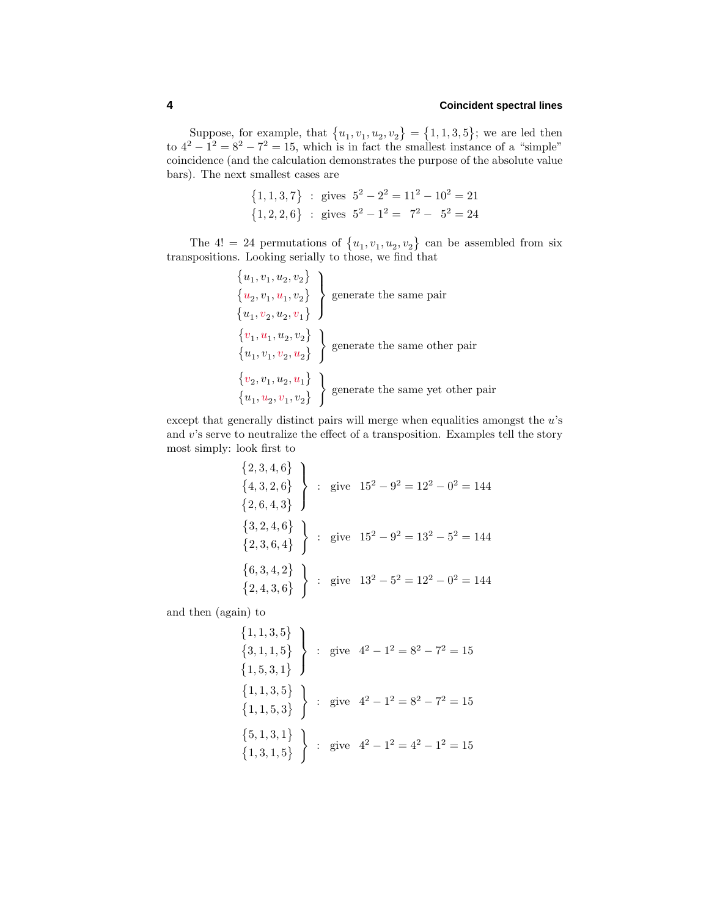Suppose, for example, that  $\{u_1, v_1, u_2, v_2\} = \{1, 1, 3, 5\}$ ; we are led then to  $4^2 - 1^2 = 8^2 - 7^2 = 15$ , which is in fact the smallest instance of a "simple" coincidence (and the calculation demonstrates the purpose of the absolute value bars). The next smallest cases are

> $\{1, 1, 3, 7\}$  : gives  $5^2 - 2^2 = 11^2 - 10^2 = 21$  ${1, 2, 2, 6}$  : gives  $5^2 - 1^2 = 7^2 - 5^2 = 24$

The  $4! = 24$  permutations of  $\{u_1, v_1, u_2, v_2\}$  can be assembled from six transpositions. Looking serially to those, we find that

$$
\begin{array}{c}\n\{u_1, v_1, u_2, v_2\} \\
\{u_2, v_1, u_1, v_2\} \\
\{u_1, v_2, u_2, v_1\} \\
\{v_1, u_1, u_2, v_2\} \\
\{u_1, v_1, v_2, u_2\} \\
\{v_2, v_1, u_2, u_1\} \\
\{u_1, u_2, v_1, v_2\}\n\end{array}
$$
 generate the same other pair

except that generally distinct pairs will merge when equalities amongst the *u*'s and  $v$ 's serve to neutralize the effect of a transposition. Examples tell the story most simply: look first to

$$
{2, 3, 4, 6}
$$
  
\n
$$
{3, 2, 6}
$$
  
\n
$$
{3, 2, 4, 6}
$$
  
\n
$$
{3, 2, 4, 6}
$$
  
\n
$$
{3, 2, 4, 6}
$$
  
\n
$$
{3, 2, 4, 6}
$$
  
\n
$$
{3, 2, 4, 6}
$$
  
\n
$$
{3, 2, 4, 6}
$$
  
\n
$$
{3, 2, 4, 6}
$$
  
\n
$$
{3, 2, 4, 6}
$$
  
\n
$$
{3, 2, 4, 6}
$$
  
\n
$$
{3, 2, 4, 6}
$$
  
\n
$$
{3, 2, 4, 6}
$$
  
\n
$$
{3, 2, 4, 6}
$$
  
\n
$$
{3, 2, 4, 6}
$$
  
\n
$$
{3, 2, 4, 6}
$$
  
\n
$$
{3, 2, 4, 6}
$$
  
\n
$$
{3, 2, 4, 6}
$$
  
\n
$$
{3, 2, 4, 6}
$$
  
\n
$$
{3, 2, 4, 6}
$$
  
\n
$$
{3, 2, 4, 6}
$$
  
\n
$$
{3, 2, 4, 6}
$$
  
\n
$$
{3, 2, 4, 6}
$$
  
\n
$$
{3, 2, 4, 6}
$$
  
\n
$$
{3, 2, 4, 6}
$$
  
\n
$$
{3, 2, 4, 6}
$$
  
\n
$$
{3, 2, 4, 6}
$$
  
\n
$$
{3, 2, 4, 6}
$$
  
\n
$$
{3, 2, 4, 6}
$$
  
\n
$$
{3, 2, 4, 6}
$$
  
\n
$$
{3, 2, 4, 6}
$$
  
\n
$$
{3, 2, 4, 6}
$$
  
\n
$$
{3, 2, 4, 6}
$$
  
\n
$$
{3, 2, 4, 6}
$$
  
\n
$$
{3, 2, 4, 6}
$$

and then (again) to

$$
\{1, 1, 3, 5\}
$$
  

$$
\{3, 1, 1, 5\}
$$
  

$$
\{1, 5, 3, 1\}
$$
  

$$
\{1, 1, 3, 5\}
$$
  

$$
\{1, 1, 5, 3\}
$$
  

$$
\{1, 1, 5, 3\}
$$
  

$$
\{1, 3, 1, 5\}
$$
  

$$
\{1, 3, 1, 5\}
$$
  

$$
\{1, 3, 1, 5\}
$$
  

$$
\{1, 3, 1, 5\}
$$
  

$$
\{1, 3, 1, 5\}
$$
  

$$
\{1, 3, 1, 5\}
$$
  

$$
\{1, 3, 1, 5\}
$$
  

$$
\{1, 3, 1, 5\}
$$
  

$$
\{1, 3, 1, 5\}
$$
  

$$
\{1, 3, 1, 5\}
$$
  

$$
\{1, 3, 1, 5\}
$$
  

$$
\{1, 3, 1, 5\}
$$
  

$$
\{1, 3, 1, 5\}
$$
  

$$
\{1, 3, 1, 5\}
$$
  

$$
\{1, 3, 1, 5\}
$$
  

$$
\{1, 3, 1, 5\}
$$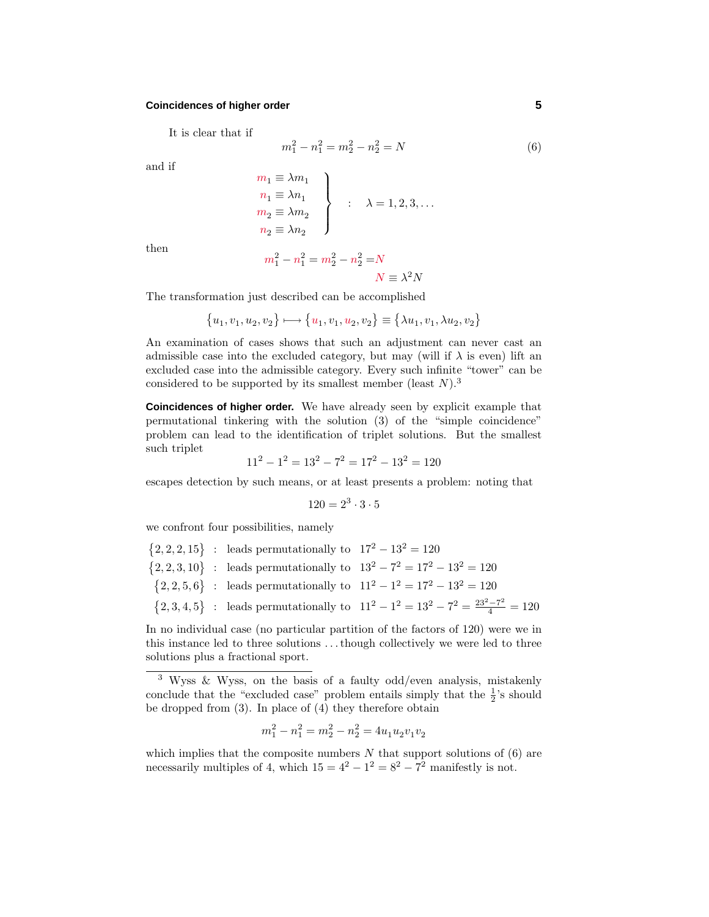#### **Coincidences of higher order 5**

It is clear that if

$$
m_1^2 - n_1^2 = m_2^2 - n_2^2 = N \tag{6}
$$

and if

$$
m_1 \equiv \lambda m_1
$$
  
\n
$$
n_1 \equiv \lambda n_1
$$
  
\n
$$
m_2 \equiv \lambda m_2
$$
  
\n
$$
n_2 \equiv \lambda n_2
$$
  
\n
$$
\left.\begin{array}{c}\n\lambda = 1, 2, 3, \dots \\
\lambda = 1, 2, 3, \dots\n\end{array}\right\}
$$

then

$$
m_1^2 - n_1^2 = m_2^2 - n_2^2 = N
$$

$$
N \equiv \lambda^2 N
$$

The transformation just described can be accomplished

$$
\{u_1, v_1, u_2, v_2\} \longmapsto \{u_1, v_1, u_2, v_2\} \equiv \{\lambda u_1, v_1, \lambda u_2, v_2\}
$$

An examination of cases shows that such an adjustment can never cast an admissible case into the excluded category, but may (will if  $\lambda$  is even) lift an excluded case into the admissible category.Every such infinite "tower" can be considered to be supported by its smallest member (least *N*).<sup>3</sup>

**Coincidences of higher order.** We have already seen by explicit example that permutational tinkering with the solution (3) of the "simple coincidence" problem can lead to the identification of triplet solutions. But the smallest such triplet

$$
112 - 12 = 132 - 72 = 172 - 132 = 120
$$

escapes detection by such means, or at least presents a problem: noting that

$$
120 = 2^3 \cdot 3 \cdot 5
$$

we confront four possibilities, namely

|  | $\{2, 2, 2, 15\}$ : leads permutationally to $17^2 - 13^2 = 120$ |                                                                                                 |
|--|------------------------------------------------------------------|-------------------------------------------------------------------------------------------------|
|  |                                                                  | $\{2, 2, 3, 10\}$ : leads permutationally to $13^2 - 7^2 = 17^2 - 13^2 = 120$                   |
|  |                                                                  | $\{2,2,5,6\}$ : leads permutationally to $11^2 - 1^2 = 17^2 - 13^2 = 120$                       |
|  |                                                                  | $\{2,3,4,5\}$ : leads permutationally to $11^2 - 1^2 = 13^2 - 7^2 = \frac{23^2 - 7^2}{4} = 120$ |

In no individual case (no particular partition of the factors of 120) were we in this instance led to three solutions *...*though collectively we were led to three solutions plus a fractional sport.

$$
m_1^2 - n_1^2 = m_2^2 - n_2^2 = 4u_1u_2v_1v_2
$$

which implies that the composite numbers  $N$  that support solutions of  $(6)$  are necessarily multiples of 4, which  $15 = 4^2 - 1^2 = 8^2 - 7^2$  manifestly is not.

<sup>3</sup> Wyss & Wyss, on the basis of a faulty odd/even analysis, mistakenly conclude that the "excluded case" problem entails simply that the  $\frac{1}{2}$ 's should be dropped from  $(3)$ . In place of  $(4)$  they therefore obtain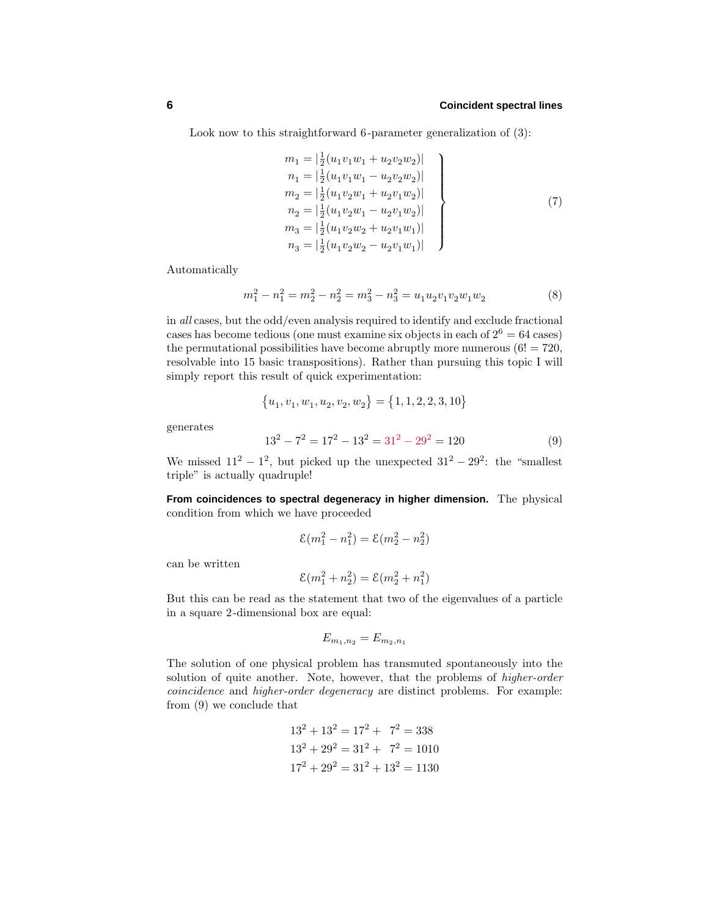Look now to this straightforward 6-parameter generalization of  $(3)$ :

$$
m_1 = |\frac{1}{2}(u_1v_1w_1 + u_2v_2w_2)|
$$
  
\n
$$
n_1 = |\frac{1}{2}(u_1v_1w_1 - u_2v_2w_2)|
$$
  
\n
$$
m_2 = |\frac{1}{2}(u_1v_2w_1 + u_2v_1w_2)|
$$
  
\n
$$
n_2 = |\frac{1}{2}(u_1v_2w_1 - u_2v_1w_2)|
$$
  
\n
$$
m_3 = |\frac{1}{2}(u_1v_2w_2 + u_2v_1w_1)|
$$
  
\n
$$
n_3 = |\frac{1}{2}(u_1v_2w_2 - u_2v_1w_1)|
$$
\n(7)

Automatically

$$
m_1^2 - n_1^2 = m_2^2 - n_2^2 = m_3^2 - n_3^2 = u_1 u_2 v_1 v_2 w_1 w_2 \tag{8}
$$

in all cases, but the odd/even analysis required to identify and exclude fractional cases has become tedious (one must examine six objects in each of  $2^6 = 64$  cases) the permutational possibilities have become abruptly more numerous  $(6! = 720,$ resolvable into 15 basic transpositions). Rather than pursuing this topic I will simply report this result of quick experimentation:

$$
\{u_1, v_1, w_1, u_2, v_2, w_2\} = \{1, 1, 2, 2, 3, 10\}
$$

generates

$$
132 - 72 = 172 - 132 = 312 - 292 = 120
$$
 (9)

We missed  $11^2 - 1^2$ , but picked up the unexpected  $31^2 - 29^2$ : the "smallest" triple" is actually quadruple!

**From coincidences to spectral degeneracy in higher dimension.** The physical condition from which we have proceeded

$$
\mathcal{E}(m_1^2 - n_1^2) = \mathcal{E}(m_2^2 - n_2^2)
$$

can be written

$$
\mathcal{E}(m_1^2+n_2^2)=\mathcal{E}(m_2^2+n_1^2)
$$

But this can be read as the statement that two of the eigenvalues of a particle in a square 2-dimensional box are equal:

$$
E_{m_1,n_2} = E_{m_2,n_1}
$$

The solution of one physical problem has transmuted spontaneously into the solution of quite another. Note, however, that the problems of *higher-order* coincidence and higher-order degeneracy are distinct problems. For example: from (9) we conclude that

$$
132 + 132 = 172 + 72 = 338
$$
  

$$
132 + 292 = 312 + 72 = 1010
$$
  

$$
172 + 292 = 312 + 132 = 1130
$$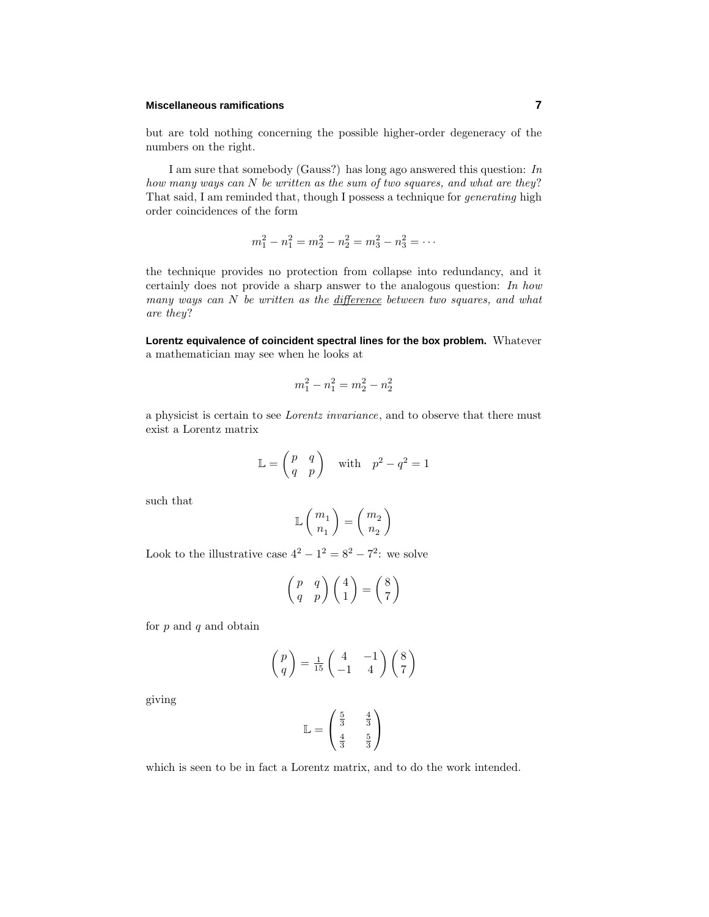#### **Miscellaneous ramifications 7**

but are told nothing concerning the possible higher-order degeneracy of the numbers on the right.

I am sure that somebody (Gauss?) has long ago answered this question: In how many ways can *N* be written as the sum of two squares, and what are they? That said, I am reminded that, though I possess a technique for generating high order coincidences of the form

$$
m_1^2 - n_1^2 = m_2^2 - n_2^2 = m_3^2 - n_3^2 = \cdots
$$

the technique provides no protection from collapse into redundancy, and it certainly does not provide a sharp answer to the analogous question: In how many ways can  $N$  be written as the difference between two squares, and what are they?

**Lorentz equivalence of coincident spectral lines for the box problem.** Whatever a mathematician may see when he looks at

$$
m_1^2 - n_1^2 = m_2^2 - n_2^2 \,
$$

a physicist is certain to see Lorentz invariance, and to observe that there must exist a Lorentz matrix

$$
\mathbb{L} = \begin{pmatrix} p & q \\ q & p \end{pmatrix} \quad \text{with} \quad p^2 - q^2 = 1
$$

such that

$$
\mathbb{L}\left(\begin{array}{c} m_1 \\ n_1 \end{array}\right) = \left(\begin{array}{c} m_2 \\ n_2 \end{array}\right)
$$

Look to the illustrative case  $4^2 - 1^2 = 8^2 - 7^2$ : we solve

$$
\begin{pmatrix} p & q \\ q & p \end{pmatrix} \begin{pmatrix} 4 \\ 1 \end{pmatrix} = \begin{pmatrix} 8 \\ 7 \end{pmatrix}
$$

for *p* and *q* and obtain

$$
\begin{pmatrix} p \\ q \end{pmatrix} = \frac{1}{15} \begin{pmatrix} 4 & -1 \\ -1 & 4 \end{pmatrix} \begin{pmatrix} 8 \\ 7 \end{pmatrix}
$$

giving

$$
\mathbb{L} = \begin{pmatrix} \frac{5}{3} & \frac{4}{3} \\ \frac{4}{3} & \frac{5}{3} \end{pmatrix}
$$

which is seen to be in fact a Lorentz matrix, and to do the work intended.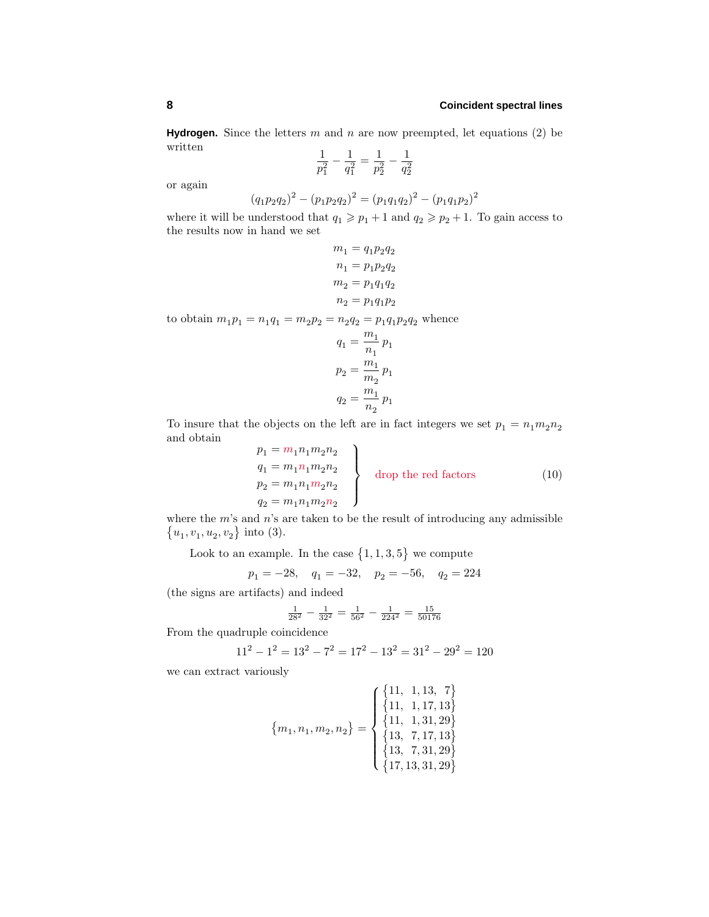**Hydrogen.** Since the letters *m* and *n* are now preempted, let equations (2) be written <sup>1</sup> <sup>−</sup> <sup>1</sup>

$$
\frac{1}{p_1^2} - \frac{1}{q_1^2} = \frac{1}{p_2^2} - \frac{1}{q_2^2}
$$

or again

$$
(q_1p_2q_2)^2 - (p_1p_2q_2)^2 = (p_1q_1q_2)^2 - (p_1q_1p_2)^2
$$

where it will be understood that  $q_1 \geqslant p_1 + 1$  and  $q_2 \geqslant p_2 + 1.$  To gain access to the results now in hand we set

$$
\begin{aligned} m_1 &= q_1 p_2 q_2 \\ n_1 &= p_1 p_2 q_2 \\ m_2 &= p_1 q_1 q_2 \\ n_2 &= p_1 q_1 p_2 \end{aligned}
$$

to obtain  $m_1p_1 = n_1q_1 = m_2p_2 = n_2q_2 = p_1q_1p_2q_2$  whence

$$
\begin{aligned} q_1 &= \frac{m_1}{n_1}\,p_1\\ p_2 &= \frac{m_1}{m_2}\,p_1\\ q_2 &= \frac{m_1}{n_2}\,p_1 \end{aligned}
$$

To insure that the objects on the left are in fact integers we set  $p_1 = n_1 m_2 n_2$ and obtain

$$
p_1 = m_1 n_1 m_2 n_2
$$
  
\n
$$
q_1 = m_1 n_1 m_2 n_2
$$
  
\n
$$
p_2 = m_1 n_1 m_2 n_2
$$
  
\n
$$
q_2 = m_1 n_1 m_2 n_2
$$
 drop the red factors (10)

where the *m*'s and *n*'s are taken to be the result of introducing any admissible  $\{u_1, v_1, u_2, v_2\}$  into (3).

Look to an example. In the case  $\{1, 1, 3, 5\}$  we compute

$$
p_1 = -28
$$
,  $q_1 = -32$ ,  $p_2 = -56$ ,  $q_2 = 224$ 

(the signs are artifacts) and indeed

$$
\frac{1}{28^2} - \frac{1}{32^2} = \frac{1}{56^2} - \frac{1}{224^2} = \frac{15}{50176}
$$

From the quadruple coincidence

$$
112 - 12 = 132 - 72 = 172 - 132 = 312 - 292 = 120
$$

we can extract variously

$$
\left\{m_1,n_1,m_2,n_2\right\}=\left\{\begin{matrix} \left\{11,~1,13,~7\right\} \\ \left\{11,~1,17,13\right\} \\ \left\{11,~1,31,29\right\} \\ \left\{13,~7,17,13\right\} \\ \left\{13,~7,31,29\right\} \\ \left\{17,13,31,29\right\} \end{matrix}\right\}
$$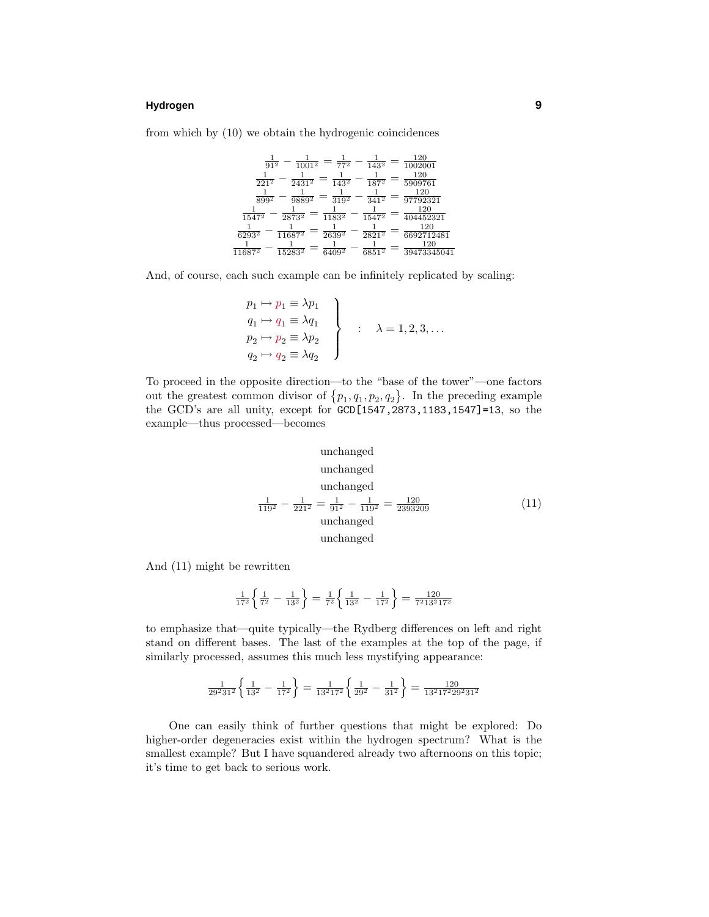# **Hydrogen 9**

from which by (10) we obtain the hydrogenic coincidences

| $91^{2}$  | $1001^2$    | $77^{2}$   | $143^2$             | 120<br>1002001     |
|-----------|-------------|------------|---------------------|--------------------|
| 2212      | 24312       | 1432       | 1872                | 120<br>5909761     |
| $899^{2}$ | 98892       | 3192       | $34\overline{1^2}$  | 120<br>97792321    |
| $1547^2$  | 28732       | $1183^{2}$ | $15\overline{47^2}$ | 120<br>404452321   |
| $6293^2$  | 116872      | 26392      | $2821^2$            | 120<br>6692712481  |
| $11687^2$ | $15283^{2}$ | $6409^{2}$ | 68512               | 120<br>39473345041 |

And, of course, each such example can be infinitely replicated by scaling:

$$
\left.\begin{array}{l}\np_1 \mapsto p_1 \equiv \lambda p_1 \\
q_1 \mapsto q_1 \equiv \lambda q_1 \\
p_2 \mapsto p_2 \equiv \lambda p_2 \\
q_2 \mapsto q_2 \equiv \lambda q_2\n\end{array}\right\} \quad : \quad \lambda = 1, 2, 3, \dots
$$

To proceed in the opposite direction—to the "base of the tower"—one factors out the greatest common divisor of  $\{p_1, q_1, p_2, q_2\}$ . In the preceding example the GCD's are all unity, except for GCD[1547,2873,1183,1547]=13, so the example—thus processed—becomes

unchanged  
unchanged  
unchanged  

$$
\frac{1}{119^2} - \frac{1}{221^2} = \frac{1}{91^2} - \frac{1}{119^2} = \frac{120}{2393209}
$$
 (11)  
unchanged  
unchanged

And (11) might be rewritten

$$
\frac{1}{17^2} \left\{ \frac{1}{7^2} - \frac{1}{13^2} \right\} = \frac{1}{7^2} \left\{ \frac{1}{13^2} - \frac{1}{17^2} \right\} = \frac{120}{7^2 13^2 17^2}
$$

to emphasize that—quite typically—the Rydberg differences on left and right stand on different bases.The last of the examples at the top of the page, if similarly processed, assumes this much less mystifying appearance:

$$
\frac{1}{29^2 31^2} \left\{ \frac{1}{13^2} - \frac{1}{17^2} \right\} = \frac{1}{13^2 17^2} \left\{ \frac{1}{29^2} - \frac{1}{31^2} \right\} = \frac{120}{13^2 17^2 29^2 31^2}
$$

One can easily think of further questions that might be explored: Do higher-order degeneracies exist within the hydrogen spectrum? What is the smallest example? But I have squandered already two afternoons on this topic; it's time to get back to serious work.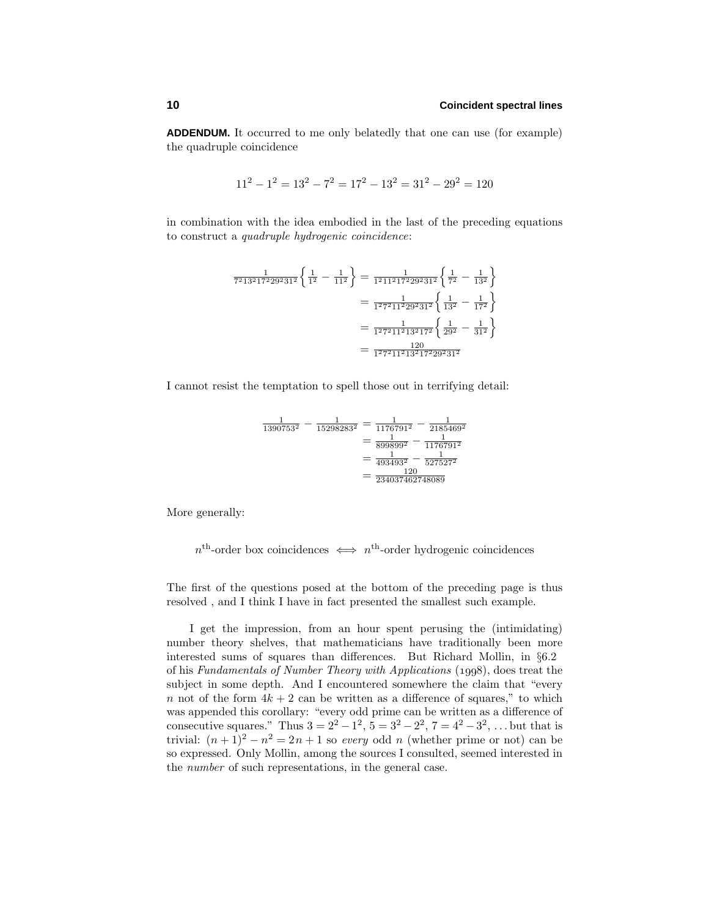**ADDENDUM.** It occurred to me only belatedly that one can use (for example) the quadruple coincidence

$$
112 - 12 = 132 - 72 = 172 - 132 = 312 - 292 = 120
$$

in combination with the idea embodied in the last of the preceding equations to construct a quadruple hydrogenic coincidence:

$$
\frac{1}{7^2 13^2 17^2 29^2 31^2} \left\{ \frac{1}{1^2} - \frac{1}{11^2} \right\} = \frac{1}{1^2 11^2 17^2 29^2 31^2} \left\{ \frac{1}{7^2} - \frac{1}{13^2} \right\}
$$

$$
= \frac{1}{1^2 7^2 11^2 29^2 31^2} \left\{ \frac{1}{13^2} - \frac{1}{17^2} \right\}
$$

$$
= \frac{1}{1^2 7^2 11^2 13^2 17^2} \left\{ \frac{1}{29^2} - \frac{1}{31^2} \right\}
$$

$$
= \frac{120}{1^2 7^2 11^2 13^2 17^2 29^2 31^2}
$$

I cannot resist the temptation to spell those out in terrifying detail:

$$
\frac{1}{1390753^2} - \frac{1}{15298283^2} = \frac{1}{1176791^2} - \frac{1}{2185469^2}
$$

$$
= \frac{1}{899899^2} - \frac{1}{1176791^2}
$$

$$
= \frac{1}{493493^2} - \frac{1}{527527^2}
$$

$$
= \frac{120}{234037462748089}
$$

More generally:

$$
n^{\text{th}}
$$
-order box coincidences  $\iff$   $n^{\text{th}}$ -order hydrogenic coincidences

The first of the questions posed at the bottom of the preceding page is thus resolved , and I think I have in fact presented the smallest such example.

I get the impression, from an hour spent perusing the (intimidating) number theory shelves, that mathematicians have traditionally been more interested sums of squares than differences. But Richard Mollin, in  $\S6.2$ of his Fundamentals of Number Theory with Applications (1998), does treat the subject in some depth.And I encountered somewhere the claim that "every *n* not of the form  $4k + 2$  can be written as a difference of squares," to which was appended this corollary: "every odd prime can be written as a difference of consecutive squares." Thus  $3 = 2^2 - 1^2$ ,  $5 = 3^2 - 2^2$ ,  $7 = 4^2 - 3^2$ , ... but that is trivial:  $(n+1)^2 - n^2 = 2n+1$  so every odd *n* (whether prime or not) can be so expressed.Only Mollin, among the sources I consulted, seemed interested in the number of such representations, in the general case.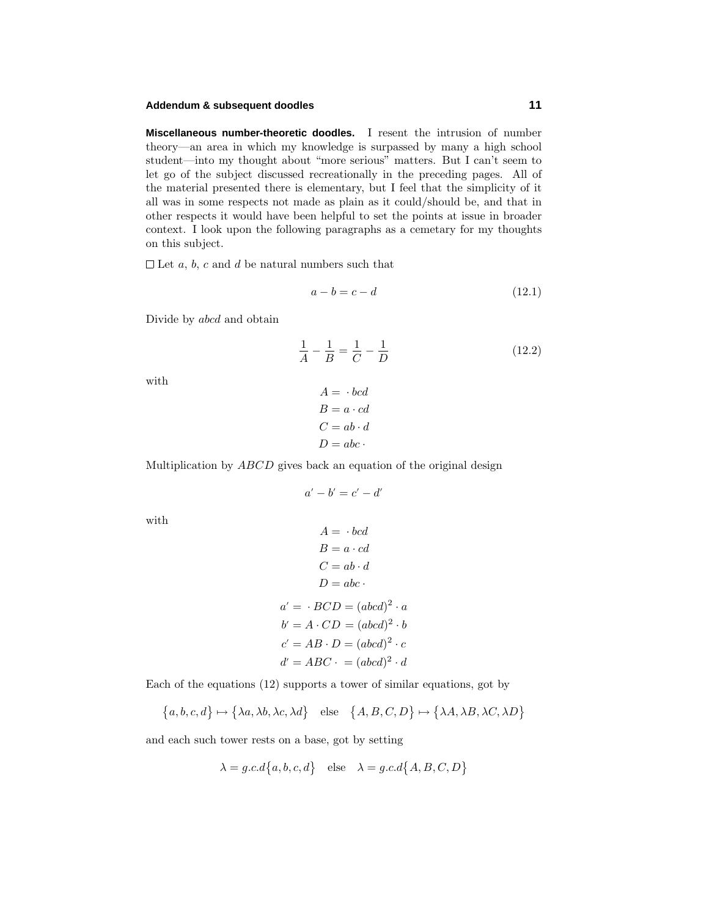#### **Addendum & subsequent doodles 11**

**Miscellaneous number-theoretic doodles.** I resent the intrusion of number theory—an area in which my knowledge is surpassed by many a high school student—into my thought about "more serious" matters. But I can't seem to let go of the subject discussed recreationally in the preceding pages.All of the material presented there is elementary, but I feel that the simplicity of it all was in some respects not made as plain as it could/should be, and that in other respects it would have been helpful to set the points at issue in broader context.I look upon the following paragraphs as a cemetary for my thoughts on this subject.

 $\Box$  Let *a*, *b*, *c* and *d* be natural numbers such that

$$
a - b = c - d \tag{12.1}
$$

Divide by *abcd* and obtain

$$
\frac{1}{A} - \frac{1}{B} = \frac{1}{C} - \frac{1}{D}
$$
 (12.2)

with

$$
A = \cdot bcd
$$

$$
B = a \cdot cd
$$

$$
C = ab \cdot d
$$

$$
D = abc \cdot
$$

Multiplication by *ABCD* gives back an equation of the original design

$$
a'-b'=c'-d'
$$

with

$$
A = \cdot bcd
$$
  
\n
$$
B = a \cdot cd
$$
  
\n
$$
C = ab \cdot d
$$
  
\n
$$
D = abc \cdot
$$
  
\n
$$
a' = \cdot BCD = (abcd)^2 \cdot a
$$
  
\n
$$
b' = A \cdot CD = (abcd)^2 \cdot b
$$
  
\n
$$
c' = AB \cdot D = (abcd)^2 \cdot c
$$
  
\n
$$
d' = ABC \cdot = (abcd)^2 \cdot d
$$

Each of the equations (12) supports a tower of similar equations, got by

$$
\{a, b, c, d\} \mapsto \{\lambda a, \lambda b, \lambda c, \lambda d\} \quad \text{else} \quad \{A, B, C, D\} \mapsto \{\lambda A, \lambda B, \lambda C, \lambda D\}
$$

and each such tower rests on a base, got by setting

$$
\lambda = g.c.d\{a, b, c, d\} \quad \text{else} \quad \lambda = g.c.d\{A, B, C, D\}
$$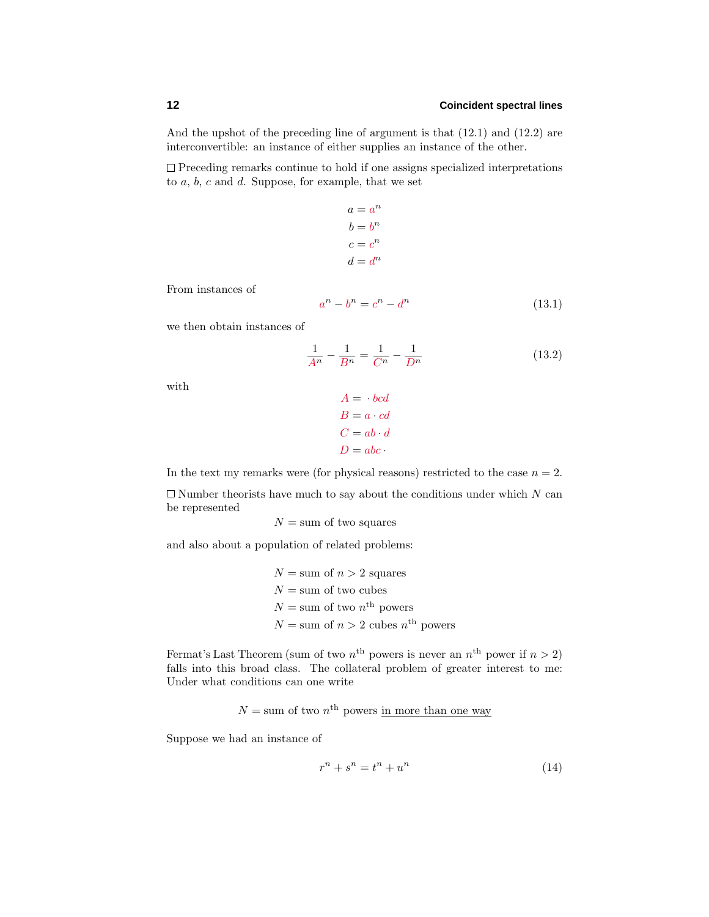And the upshot of the preceding line of argument is that (12.1) and (12.2) are interconvertible: an instance of either supplies an instance of the other.

 $\Box$  <br> Preceding remarks continue to hold if one assigns specialized interpretations to  $a, b, c$  and  $d$ . Suppose, for example, that we set

$$
a = an
$$

$$
b = bn
$$

$$
c = cn
$$

$$
d = dn
$$

From instances of

$$
a^n - b^n = c^n - d^n \tag{13.1}
$$

we then obtain instances of

$$
\frac{1}{A^n} - \frac{1}{B^n} = \frac{1}{C^n} - \frac{1}{D^n}
$$
\n(13.2)

with

$$
A = bcd
$$
  

$$
B = a \cdot cd
$$
  

$$
C = ab \cdot d
$$
  

$$
D = abc
$$

In the text my remarks were (for physical reasons) restricted to the case  $n = 2$ .

 $\square$  Number theorists have much to say about the conditions under which  $N$  can be represented

 $N =$ sum of two squares

and also about a population of related problems:

$$
N = \text{sum of } n > 2 \text{ squares}
$$
\n
$$
N = \text{sum of two cubes}
$$
\n
$$
N = \text{sum of two } n^{\text{th}} \text{ powers}
$$
\n
$$
N = \text{sum of } n > 2 \text{ cubes } n^{\text{th}} \text{ powers}
$$

Fermat's Last Theorem (sum of two  $n^{\text{th}}$  powers is never an  $n^{\text{th}}$  power if  $n > 2$ ) falls into this broad class. The collateral problem of greater interest to me: Under what conditions can one write

 $N =$ sum of two  $n<sup>th</sup>$  powers <u>in more than one way</u>

Suppose we had an instance of

$$
r^n + s^n = t^n + u^n \tag{14}
$$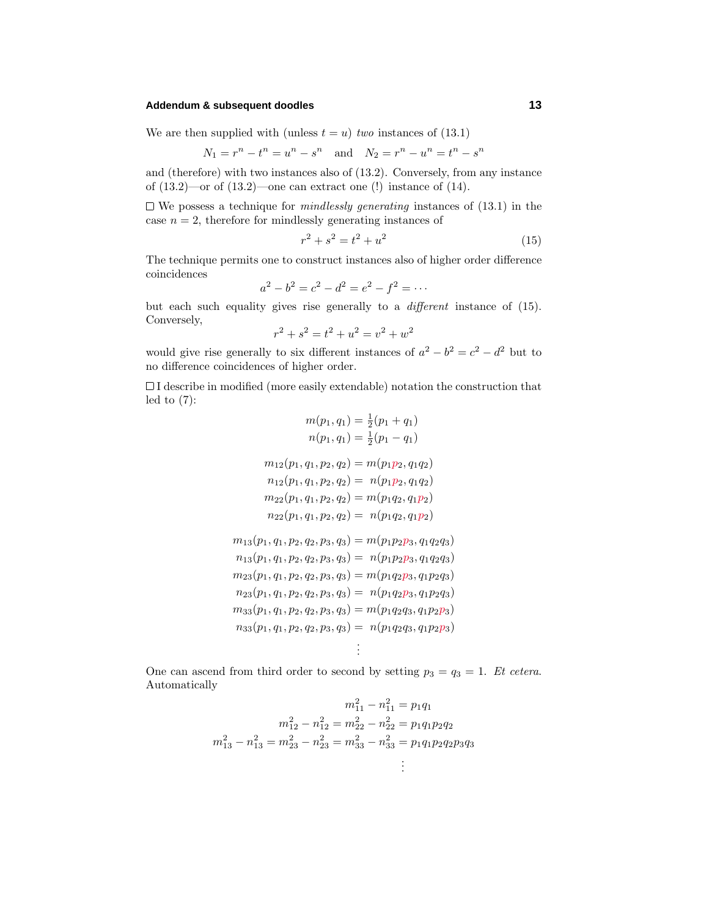#### **Addendum & subsequent doodles 13**

We are then supplied with (unless  $t = u$ ) two instances of (13.1)

$$
N_1 = r^n - t^n = u^n - s^n
$$
 and  $N_2 = r^n - u^n = t^n - s^n$ 

and (therefore) with two instances also of (13.2). Conversely, from any instance of  $(13.2)$ —or of  $(13.2)$ —one can extract one  $(!)$  instance of  $(14)$ .

 $\square$  We possess a technique for *mindlessly generating* instances of (13.1) in the case  $n = 2$ , therefore for mindlessly generating instances of

$$
r^2 + s^2 = t^2 + u^2 \tag{15}
$$

The technique permits one to construct instances also of higher order difference coincidences

$$
a^2 - b^2 = c^2 - d^2 = e^2 - f^2 = \cdots
$$

but each such equality gives rise generally to a different instance of (15). Conversely,

$$
r^2 + s^2 = t^2 + u^2 = v^2 + w^2
$$

would give rise generally to six different instances of  $a^2 - b^2 = c^2 - d^2$  but to no difference coincidences of higher order.

I describe in modified (more easily extendable) notation the construction that led to  $(7)$ :

$$
m(p_1, q_1) = \frac{1}{2}(p_1 + q_1)
$$

$$
n(p_1, q_1) = \frac{1}{2}(p_1 - q_1)
$$

$$
m_{12}(p_1, q_1, p_2, q_2) = m(p_1 p_2, q_1 q_2)
$$

$$
m_{12}(p_1, q_1, p_2, q_2) = m(p_1p_2, q_1q_2)
$$
  
\n
$$
m_{22}(p_1, q_1, p_2, q_2) = m(p_1p_2, q_1p_2)
$$
  
\n
$$
m_{22}(p_1, q_1, p_2, q_2) = m(p_1q_2, q_1p_2)
$$
  
\n
$$
m_{22}(p_1, q_1, p_2, q_2) = n(p_1q_2, q_1p_2)
$$

$$
m_{13}(p_1, q_1, p_2, q_2, p_3, q_3) = m(p_1p_2p_3, q_1q_2q_3)
$$
  
\n
$$
n_{13}(p_1, q_1, p_2, q_2, p_3, q_3) = n(p_1p_2p_3, q_1q_2q_3)
$$
  
\n
$$
m_{23}(p_1, q_1, p_2, q_2, p_3, q_3) = m(p_1q_2p_3, q_1p_2q_3)
$$
  
\n
$$
n_{23}(p_1, q_1, p_2, q_2, p_3, q_3) = n(p_1q_2p_3, q_1p_2q_3)
$$
  
\n
$$
m_{33}(p_1, q_1, p_2, q_2, p_3, q_3) = m(p_1q_2q_3, q_1p_2p_3)
$$
  
\n
$$
n_{33}(p_1, q_1, p_2, q_2, p_3, q_3) = n(p_1q_2q_3, q_1p_2p_3)
$$
  
\n
$$
\vdots
$$

One can ascend from third order to second by setting  $p_3 = q_3 = 1$ . Et cetera. Automatically

$$
m_{11}^2 - n_{11}^2 = p_1 q_1
$$
  
\n
$$
m_{12}^2 - n_{12}^2 = m_{22}^2 - n_{22}^2 = p_1 q_1 p_2 q_2
$$
  
\n
$$
m_{13}^2 - n_{13}^2 = m_{23}^2 - n_{23}^2 = m_{33}^2 - n_{33}^2 = p_1 q_1 p_2 q_2 p_3 q_3
$$
  
\n
$$
\vdots
$$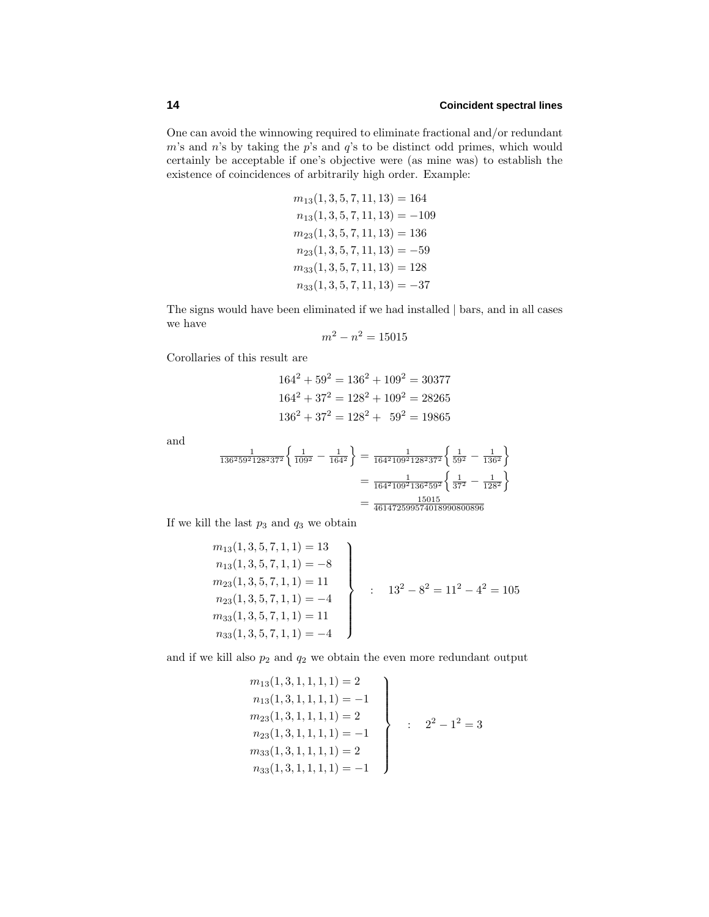One can avoid the winnowing required to eliminate fractional and/or redundant *m*'s and *n*'s by taking the *p*'s and *q*'s to be distinct odd primes, which would certainly be acceptable if one's objective were (as mine was) to establish the existence of coincidences of arbitrarily high order. Example:

$$
m_{13}(1, 3, 5, 7, 11, 13) = 164
$$
  
\n
$$
n_{13}(1, 3, 5, 7, 11, 13) = -109
$$
  
\n
$$
m_{23}(1, 3, 5, 7, 11, 13) = 136
$$
  
\n
$$
n_{23}(1, 3, 5, 7, 11, 13) = -59
$$
  
\n
$$
m_{33}(1, 3, 5, 7, 11, 13) = 128
$$
  
\n
$$
n_{33}(1, 3, 5, 7, 11, 13) = -37
$$

The signs would have been eliminated if we had installed | bars, and in all cases we have

$$
m^2 - n^2 = 15015
$$

Corollaries of this result are

$$
1642 + 592 = 1362 + 1092 = 30377
$$
  
\n
$$
1642 + 372 = 1282 + 1092 = 28265
$$
  
\n
$$
1362 + 372 = 1282 + 592 = 19865
$$

and

$$
\frac{1}{136^2 59^2 128^2 37^2} \left\{ \frac{1}{109^2} - \frac{1}{164^2} \right\} = \frac{1}{164^2 109^2 128^2 37^2} \left\{ \frac{1}{59^2} - \frac{1}{136^2} \right\}
$$

$$
= \frac{1}{164^2 109^2 136^2 59^2} \left\{ \frac{1}{37^2} - \frac{1}{128^2} \right\}
$$

$$
= \frac{15015}{461472599574018990800896}
$$

If we kill the last  $p_3$  and  $q_3$  we obtain

$$
m_{13}(1,3,5,7,1,1) = 13
$$
  
\n
$$
n_{13}(1,3,5,7,1,1) = -8
$$
  
\n
$$
m_{23}(1,3,5,7,1,1) = 11
$$
  
\n
$$
n_{33}(1,3,5,7,1,1) = -4
$$
  
\n
$$
n_{33}(1,3,5,7,1,1) = 11
$$
  
\n
$$
n_{33}(1,3,5,7,1,1) = -4
$$
  
\n
$$
\left.\begin{array}{l}\n13^2 - 8^2 = 11^2 - 4^2 = 105 \\
\text{max}(1,3,5,7,1,1) = -4\n\end{array}\right\}
$$

and if we kill also  $p_2$  and  $q_2$  we obtain the even more redundant output

$$
m_{13}(1,3,1,1,1,1) = 2
$$
  
\n
$$
n_{13}(1,3,1,1,1,1) = -1
$$
  
\n
$$
m_{23}(1,3,1,1,1,1) = 2
$$
  
\n
$$
n_{23}(1,3,1,1,1,1) = -1
$$
  
\n
$$
m_{33}(1,3,1,1,1,1) = 2
$$
  
\n
$$
n_{33}(1,3,1,1,1,1) = -1
$$
  
\n
$$
\left.\begin{array}{c}\n2^2 - 1^2 = 3 \\
1 \\
\end{array}\right\}
$$